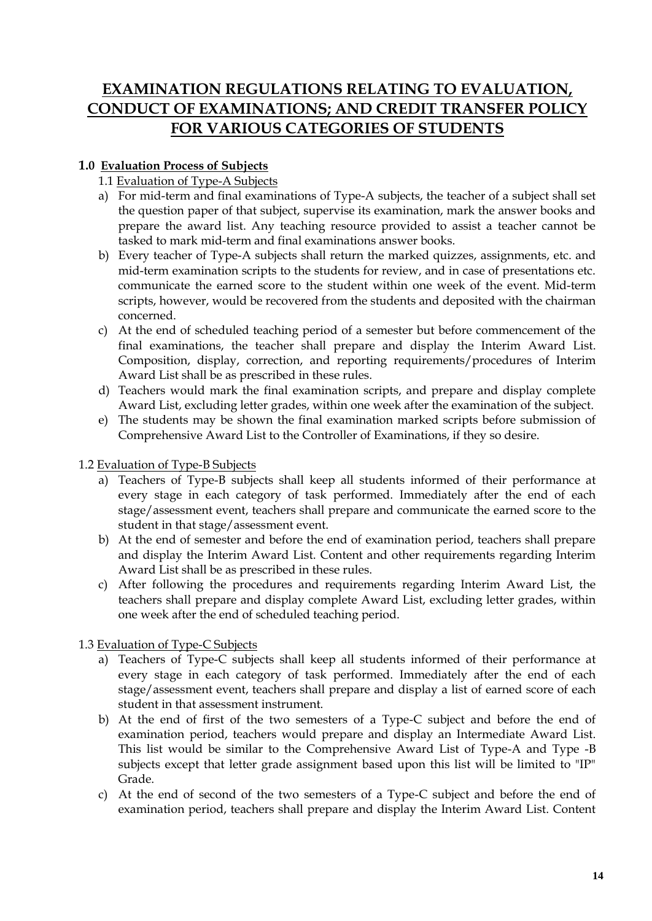# **EXAMINATION REGULATIONS RELATING TO EVALUATION, CONDUCT OF EXAMINATIONS; AND CREDIT TRANSFER POLICY FOR VARIOUS CATEGORIES OF STUDENTS**

# **1.0 Evaluation Process of Subjects**

- 1.1 Evaluation of Type-A Subjects
- a) For mid-term and final examinations of Type-A subjects, the teacher of a subject shall set the question paper of that subject, supervise its examination, mark the answer books and prepare the award list. Any teaching resource provided to assist a teacher cannot be tasked to mark mid-term and final examinations answer books.
- b) Every teacher of Type-A subjects shall return the marked quizzes, assignments, etc. and mid-term examination scripts to the students for review, and in case of presentations etc. communicate the earned score to the student within one week of the event. Mid-term scripts, however, would be recovered from the students and deposited with the chairman concerned.
- c) At the end of scheduled teaching period of a semester but before commencement of the final examinations, the teacher shall prepare and display the Interim Award List. Composition, display, correction, and reporting requirements/procedures of Interim Award List shall be as prescribed in these rules.
- d) Teachers would mark the final examination scripts, and prepare and display complete Award List, excluding letter grades, within one week after the examination of the subject.
- e) The students may be shown the final examination marked scripts before submission of Comprehensive Award List to the Controller of Examinations, if they so desire.
- 1.2 Evaluation of Type-B Subjects
	- a) Teachers of Type-B subjects shall keep all students informed of their performance at every stage in each category of task performed. Immediately after the end of each stage/assessment event, teachers shall prepare and communicate the earned score to the student in that stage/assessment event.
	- b) At the end of semester and before the end of examination period, teachers shall prepare and display the Interim Award List. Content and other requirements regarding Interim Award List shall be as prescribed in these rules.
	- c) After following the procedures and requirements regarding Interim Award List, the teachers shall prepare and display complete Award List, excluding letter grades, within one week after the end of scheduled teaching period.

1.3 Evaluation of Type-C Subjects

- a) Teachers of Type-C subjects shall keep all students informed of their performance at every stage in each category of task performed. Immediately after the end of each stage/assessment event, teachers shall prepare and display a list of earned score of each student in that assessment instrument.
- b) At the end of first of the two semesters of a Type-C subject and before the end of examination period, teachers would prepare and display an Intermediate Award List. This list would be similar to the Comprehensive Award List of Type-A and Type -B subjects except that letter grade assignment based upon this list will be limited to "IP" Grade.
- c) At the end of second of the two semesters of a Type-C subject and before the end of examination period, teachers shall prepare and display the Interim Award List. Content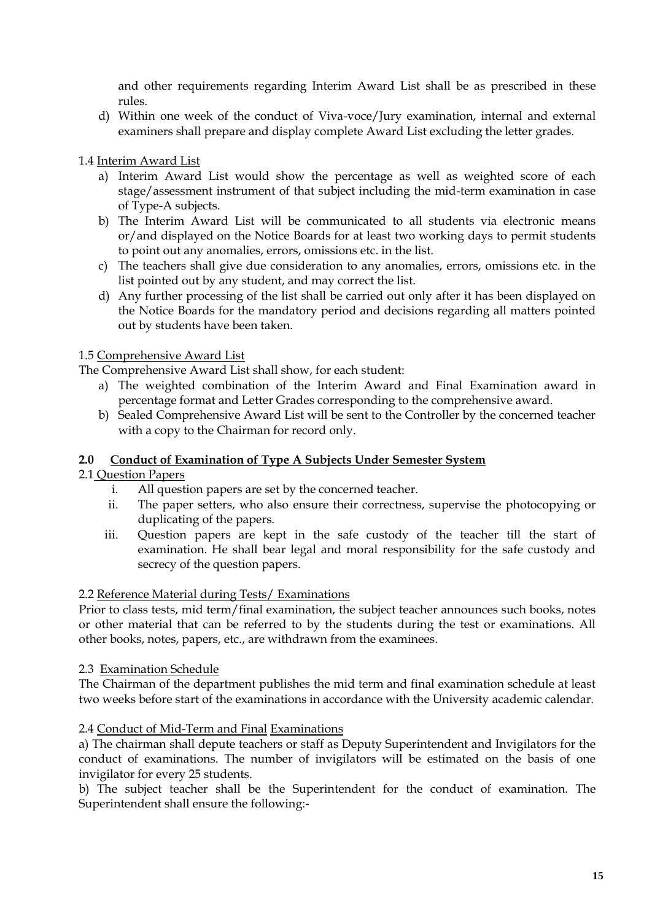and other requirements regarding Interim Award List shall be as prescribed in these rules.

d) Within one week of the conduct of Viva-voce/Jury examination, internal and external examiners shall prepare and display complete Award List excluding the letter grades.

# 1.4 Interim Award List

- a) Interim Award List would show the percentage as well as weighted score of each stage/assessment instrument of that subject including the mid-term examination in case of Type-A subjects.
- b) The Interim Award List will be communicated to all students via electronic means or/and displayed on the Notice Boards for at least two working days to permit students to point out any anomalies, errors, omissions etc. in the list.
- c) The teachers shall give due consideration to any anomalies, errors, omissions etc. in the list pointed out by any student, and may correct the list.
- d) Any further processing of the list shall be carried out only after it has been displayed on the Notice Boards for the mandatory period and decisions regarding all matters pointed out by students have been taken.

## 1.5 Comprehensive Award List

The Comprehensive Award List shall show, for each student:

- a) The weighted combination of the Interim Award and Final Examination award in percentage format and Letter Grades corresponding to the comprehensive award.
- b) Sealed Comprehensive Award List will be sent to the Controller by the concerned teacher with a copy to the Chairman for record only.

## **2.0 Conduct of Examination of Type A Subjects Under Semester System**

#### 2.1 Question Papers

- i. All question papers are set by the concerned teacher.
- ii. The paper setters, who also ensure their correctness, supervise the photocopying or duplicating of the papers.
- iii. Question papers are kept in the safe custody of the teacher till the start of examination. He shall bear legal and moral responsibility for the safe custody and secrecy of the question papers.

#### 2.2 Reference Material during Tests/ Examinations

Prior to class tests, mid term/final examination, the subject teacher announces such books, notes or other material that can be referred to by the students during the test or examinations. All other books, notes, papers, etc., are withdrawn from the examinees.

#### 2.3 Examination Schedule

The Chairman of the department publishes the mid term and final examination schedule at least two weeks before start of the examinations in accordance with the University academic calendar.

#### 2.4 Conduct of Mid-Term and Final Examinations

a) The chairman shall depute teachers or staff as Deputy Superintendent and Invigilators for the conduct of examinations. The number of invigilators will be estimated on the basis of one invigilator for every 25 students.

b) The subject teacher shall be the Superintendent for the conduct of examination. The Superintendent shall ensure the following:-